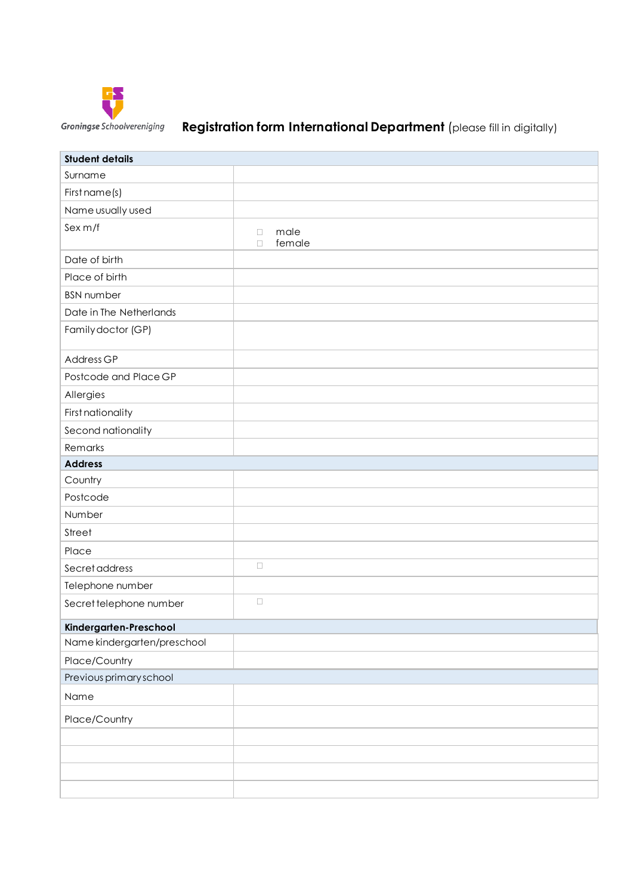

# **Registration form International Department** (please fill in digitally)

| <b>Student details</b>      |                                    |
|-----------------------------|------------------------------------|
| Surname                     |                                    |
| First name(s)               |                                    |
| Name usually used           |                                    |
| Sex m/f                     | male<br>$\Box$<br>female<br>$\Box$ |
| Date of birth               |                                    |
| Place of birth              |                                    |
| <b>BSN</b> number           |                                    |
| Date in The Netherlands     |                                    |
| Family doctor (GP)          |                                    |
| Address GP                  |                                    |
| Postcode and Place GP       |                                    |
| Allergies                   |                                    |
| First nationality           |                                    |
| Second nationality          |                                    |
| Remarks                     |                                    |
| <b>Address</b>              |                                    |
| Country                     |                                    |
| Postcode                    |                                    |
| Number                      |                                    |
| Street                      |                                    |
| Place                       |                                    |
| Secret address              | $\Box$                             |
| Telephone number            |                                    |
| Secret telephone number     | $\Box$                             |
| Kindergarten-Preschool      |                                    |
| Name kindergarten/preschool |                                    |
| Place/Country               |                                    |
| Previous primary school     |                                    |
| Name                        |                                    |
| Place/Country               |                                    |
|                             |                                    |
|                             |                                    |
|                             |                                    |
|                             |                                    |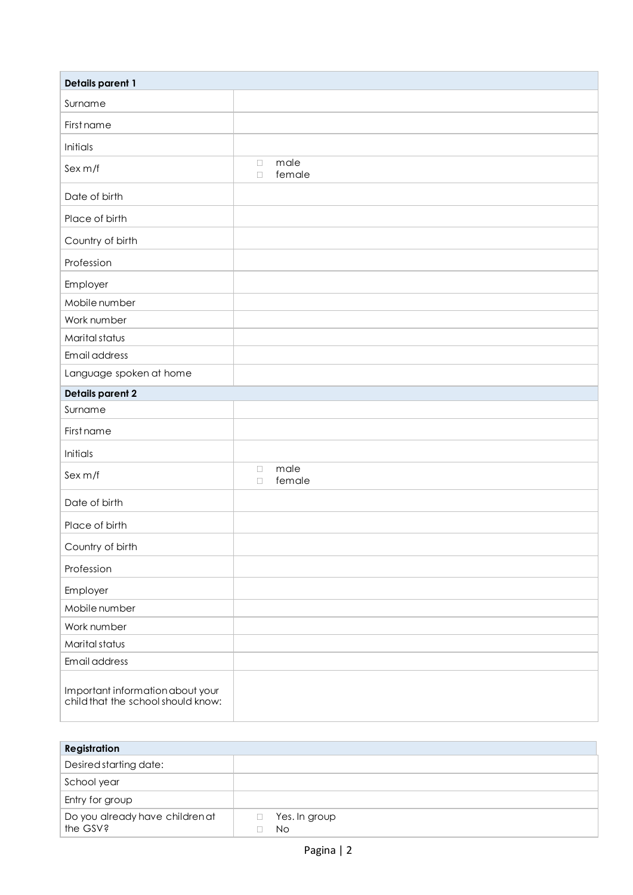| <b>Details parent 1</b>                                                |                                    |  |
|------------------------------------------------------------------------|------------------------------------|--|
| Surname                                                                |                                    |  |
| First name                                                             |                                    |  |
| Initials                                                               |                                    |  |
| Sex m/f                                                                | male<br>$\Box$<br>female<br>$\Box$ |  |
| Date of birth                                                          |                                    |  |
| Place of birth                                                         |                                    |  |
| Country of birth                                                       |                                    |  |
| Profession                                                             |                                    |  |
| Employer                                                               |                                    |  |
| Mobile number                                                          |                                    |  |
| Work number                                                            |                                    |  |
| Marital status                                                         |                                    |  |
| Email address                                                          |                                    |  |
| Language spoken at home                                                |                                    |  |
| Details parent 2                                                       |                                    |  |
| Surname                                                                |                                    |  |
| First name                                                             |                                    |  |
| Initials                                                               |                                    |  |
| Sex m/f                                                                | male<br>$\Box$<br>female<br>$\Box$ |  |
| Date of birth                                                          |                                    |  |
| Place of birth                                                         |                                    |  |
| Country of birth                                                       |                                    |  |
| Profession                                                             |                                    |  |
| Employer                                                               |                                    |  |
| Mobile number                                                          |                                    |  |
| Work number                                                            |                                    |  |
| Marital status                                                         |                                    |  |
| Email address                                                          |                                    |  |
| Important information about your<br>child that the school should know: |                                    |  |

| <b>Registration</b>                         |                      |  |
|---------------------------------------------|----------------------|--|
| Desired starting date:                      |                      |  |
| School year                                 |                      |  |
| Entry for group                             |                      |  |
| Do you already have children at<br>the GSV? | Yes. In group<br>No. |  |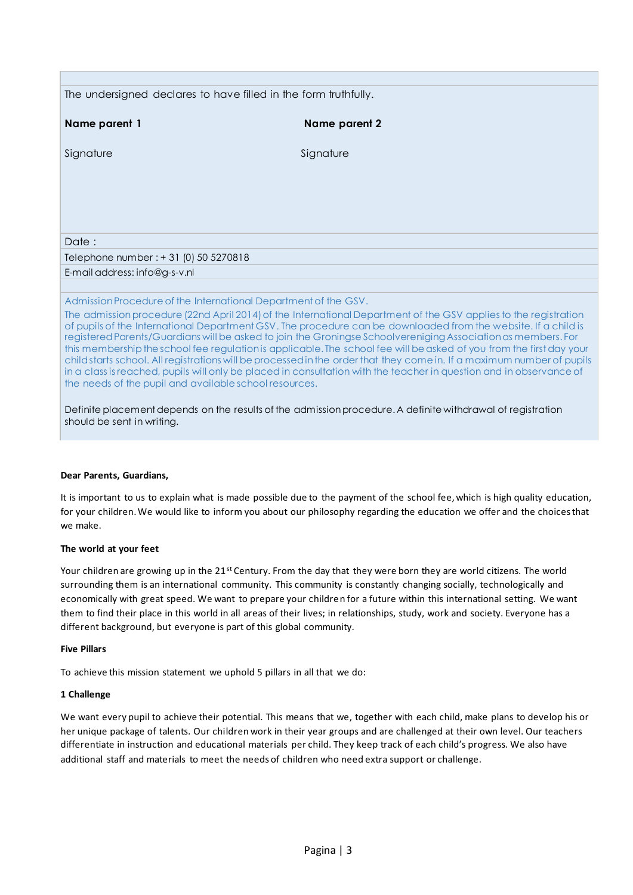| The undersigned declares to have filled in the form truthfully.                                                                                                                                                                                                                                                                                                                                                                                                                                                                                                                                                                                                                                                                                                                        |               |  |
|----------------------------------------------------------------------------------------------------------------------------------------------------------------------------------------------------------------------------------------------------------------------------------------------------------------------------------------------------------------------------------------------------------------------------------------------------------------------------------------------------------------------------------------------------------------------------------------------------------------------------------------------------------------------------------------------------------------------------------------------------------------------------------------|---------------|--|
| Name parent 1                                                                                                                                                                                                                                                                                                                                                                                                                                                                                                                                                                                                                                                                                                                                                                          | Name parent 2 |  |
| Signature                                                                                                                                                                                                                                                                                                                                                                                                                                                                                                                                                                                                                                                                                                                                                                              | Signature     |  |
|                                                                                                                                                                                                                                                                                                                                                                                                                                                                                                                                                                                                                                                                                                                                                                                        |               |  |
|                                                                                                                                                                                                                                                                                                                                                                                                                                                                                                                                                                                                                                                                                                                                                                                        |               |  |
|                                                                                                                                                                                                                                                                                                                                                                                                                                                                                                                                                                                                                                                                                                                                                                                        |               |  |
|                                                                                                                                                                                                                                                                                                                                                                                                                                                                                                                                                                                                                                                                                                                                                                                        |               |  |
| Date:                                                                                                                                                                                                                                                                                                                                                                                                                                                                                                                                                                                                                                                                                                                                                                                  |               |  |
| Telephone number : + 31 (0) 50 5270818                                                                                                                                                                                                                                                                                                                                                                                                                                                                                                                                                                                                                                                                                                                                                 |               |  |
| E-mail address: info@g-s-v.nl                                                                                                                                                                                                                                                                                                                                                                                                                                                                                                                                                                                                                                                                                                                                                          |               |  |
|                                                                                                                                                                                                                                                                                                                                                                                                                                                                                                                                                                                                                                                                                                                                                                                        |               |  |
| Admission Procedure of the International Department of the GSV.                                                                                                                                                                                                                                                                                                                                                                                                                                                                                                                                                                                                                                                                                                                        |               |  |
| The admission procedure (22nd April 2014) of the International Department of the GSV applies to the registration<br>of pupils of the International Department GSV. The procedure can be downloaded from the website. If a child is<br>registered Parents/Guardians will be asked to join the Groningse Schoolvereniging Association as members. For<br>this membership the school fee regulation is applicable. The school fee will be asked of you from the first day your<br>child starts school. All registrations will be processed in the order that they come in. If a maximum number of pupils<br>in a class is reached, pupils will only be placed in consultation with the teacher in question and in observance of<br>the needs of the pupil and available school resources. |               |  |
| Definite placement depends on the results of the admission procedure. A definite withdrawal of registration<br>should be sent in writing.                                                                                                                                                                                                                                                                                                                                                                                                                                                                                                                                                                                                                                              |               |  |

# **Dear Parents, Guardians,**

It is important to us to explain what is made possible due to the payment of the school fee, which is high quality education, for your children. We would like to inform you about our philosophy regarding the education we offer and the choices that we make.

# **The world at your feet**

Your children are growing up in the 21<sup>st</sup> Century. From the day that they were born they are world citizens. The world surrounding them is an international community. This community is constantly changing socially, technologically and economically with great speed. We want to prepare your children for a future within this international setting. We want them to find their place in this world in all areas of their lives; in relationships, study, work and society. Everyone has a different background, but everyone is part of this global community.

# **Five Pillars**

To achieve this mission statement we uphold 5 pillars in all that we do:

#### **1 Challenge**

We want every pupil to achieve their potential. This means that we, together with each child, make plans to develop his or her unique package of talents. Our children work in their year groups and are challenged at their own level. Our teachers differentiate in instruction and educational materials per child. They keep track of each child's progress. We also have additional staff and materials to meet the needs of children who need extra support or challenge.